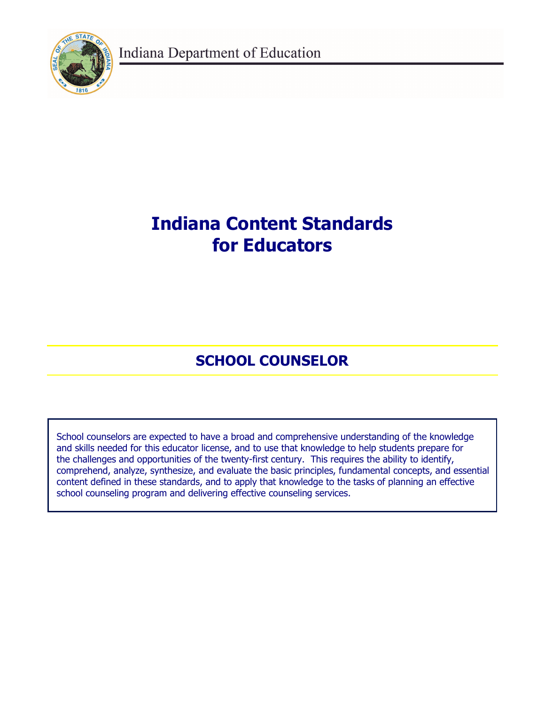Indiana Department of Education



# **Indiana Content Standards for Educators**

## **SCHOOL COUNSELOR**

School counselors are expected to have a broad and comprehensive understanding of the knowledge and skills needed for this educator license, and to use that knowledge to help students prepare for the challenges and opportunities of the twenty-first century. This requires the ability to identify, comprehend, analyze, synthesize, and evaluate the basic principles, fundamental concepts, and essential content defined in these standards, and to apply that knowledge to the tasks of planning an effective school counseling program and delivering effective counseling services.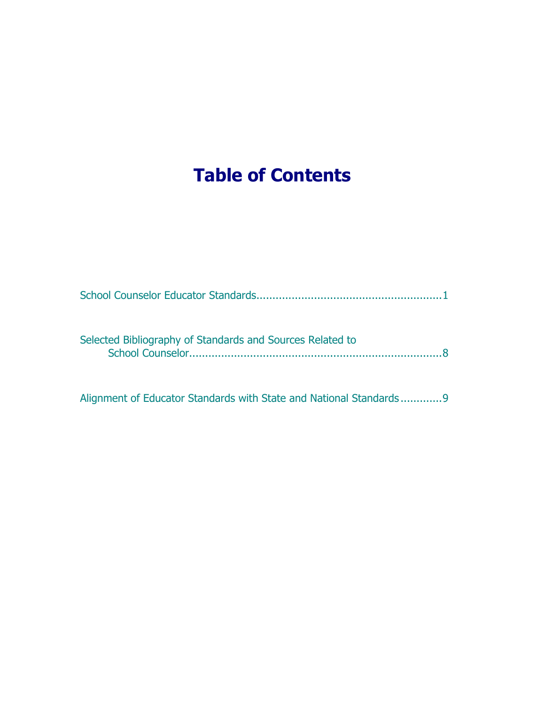# **Table of Contents**

| Selected Bibliography of Standards and Sources Related to |
|-----------------------------------------------------------|
|                                                           |

Alignment of Educator Standards with State and National Standards .............9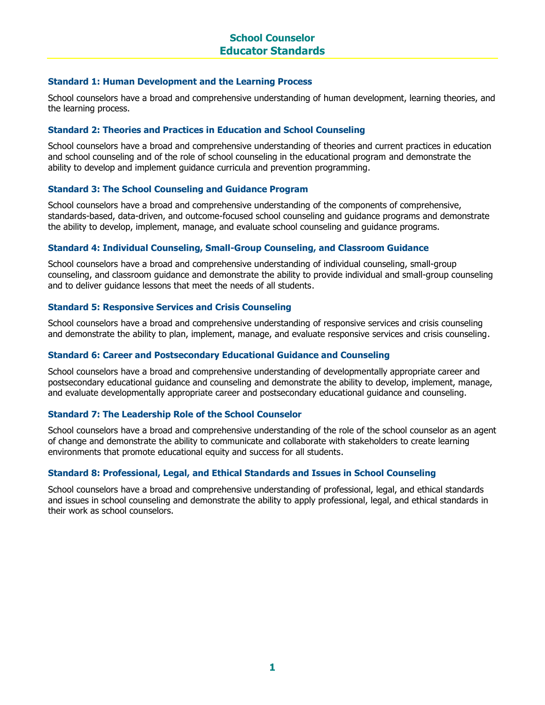#### **Standard 1: Human Development and the Learning Process**

School counselors have a broad and comprehensive understanding of human development, learning theories, and the learning process.

#### **Standard 2: Theories and Practices in Education and School Counseling**

School counselors have a broad and comprehensive understanding of theories and current practices in education and school counseling and of the role of school counseling in the educational program and demonstrate the ability to develop and implement guidance curricula and prevention programming.

#### **Standard 3: The School Counseling and Guidance Program**

School counselors have a broad and comprehensive understanding of the components of comprehensive, standards-based, data-driven, and outcome-focused school counseling and guidance programs and demonstrate the ability to develop, implement, manage, and evaluate school counseling and guidance programs.

#### **Standard 4: Individual Counseling, Small-Group Counseling, and Classroom Guidance**

School counselors have a broad and comprehensive understanding of individual counseling, small-group counseling, and classroom guidance and demonstrate the ability to provide individual and small-group counseling and to deliver guidance lessons that meet the needs of all students.

#### **Standard 5: Responsive Services and Crisis Counseling**

School counselors have a broad and comprehensive understanding of responsive services and crisis counseling and demonstrate the ability to plan, implement, manage, and evaluate responsive services and crisis counseling.

#### **Standard 6: Career and Postsecondary Educational Guidance and Counseling**

School counselors have a broad and comprehensive understanding of developmentally appropriate career and postsecondary educational guidance and counseling and demonstrate the ability to develop, implement, manage, and evaluate developmentally appropriate career and postsecondary educational guidance and counseling.

#### **Standard 7: The Leadership Role of the School Counselor**

School counselors have a broad and comprehensive understanding of the role of the school counselor as an agent of change and demonstrate the ability to communicate and collaborate with stakeholders to create learning environments that promote educational equity and success for all students.

#### **Standard 8: Professional, Legal, and Ethical Standards and Issues in School Counseling**

School counselors have a broad and comprehensive understanding of professional, legal, and ethical standards and issues in school counseling and demonstrate the ability to apply professional, legal, and ethical standards in their work as school counselors.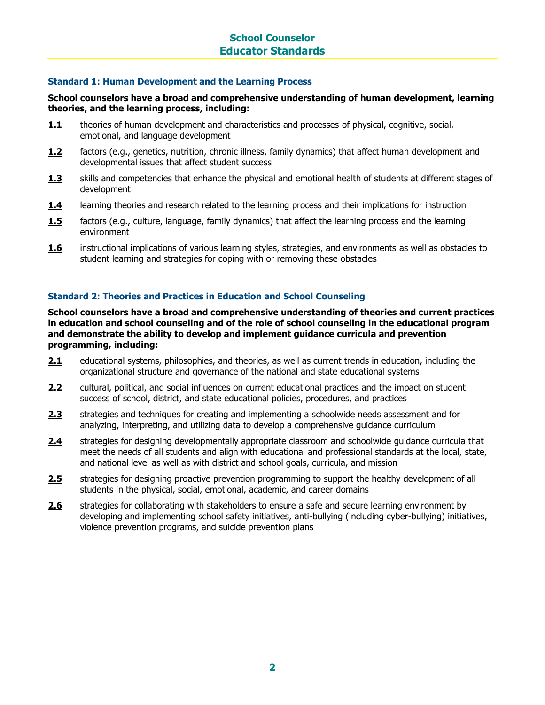#### **Standard 1: Human Development and the Learning Process**

#### **School counselors have a broad and comprehensive understanding of human development, learning theories, and the learning process, including:**

- **1.1** theories of human development and characteristics and processes of physical, cognitive, social, emotional, and language development
- **1.2** factors (e.g., genetics, nutrition, chronic illness, family dynamics) that affect human development and developmental issues that affect student success
- **1.3** skills and competencies that enhance the physical and emotional health of students at different stages of development
- 1.4 learning theories and research related to the learning process and their implications for instruction
- **1.5** factors (e.g., culture, language, family dynamics) that affect the learning process and the learning environment
- **1.6** instructional implications of various learning styles, strategies, and environments as well as obstacles to student learning and strategies for coping with or removing these obstacles

#### **Standard 2: Theories and Practices in Education and School Counseling**

**School counselors have a broad and comprehensive understanding of theories and current practices in education and school counseling and of the role of school counseling in the educational program and demonstrate the ability to develop and implement guidance curricula and prevention programming, including:**

- **2.1** educational systems, philosophies, and theories, as well as current trends in education, including the organizational structure and governance of the national and state educational systems
- **2.2** cultural, political, and social influences on current educational practices and the impact on student success of school, district, and state educational policies, procedures, and practices
- **2.3** strategies and techniques for creating and implementing a schoolwide needs assessment and for analyzing, interpreting, and utilizing data to develop a comprehensive guidance curriculum
- **2.4** strategies for designing developmentally appropriate classroom and schoolwide guidance curricula that meet the needs of all students and align with educational and professional standards at the local, state, and national level as well as with district and school goals, curricula, and mission
- 2.5 strategies for designing proactive prevention programming to support the healthy development of all students in the physical, social, emotional, academic, and career domains
- **2.6** strategies for collaborating with stakeholders to ensure a safe and secure learning environment by developing and implementing school safety initiatives, anti-bullying (including cyber-bullying) initiatives, violence prevention programs, and suicide prevention plans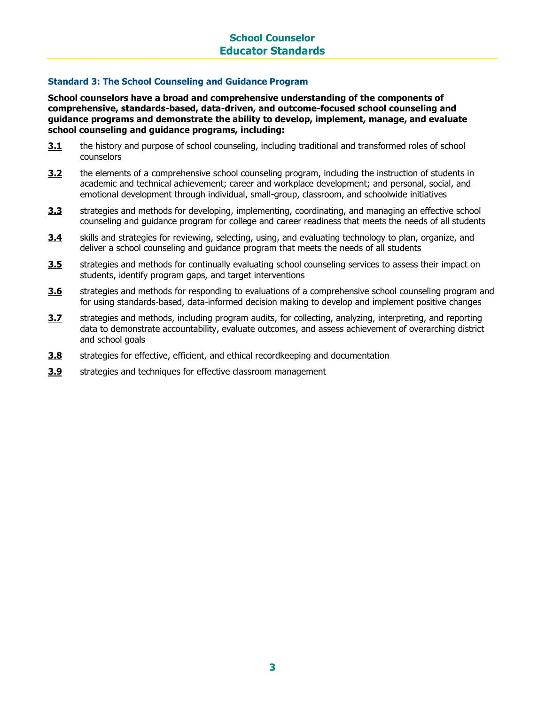#### **Standard 3: The School Counseling and Guidance Program**

**School counselors have a broad and comprehensive understanding of the components of comprehensive, standards-based, data-driven, and outcome-focused school counseling and guidance programs and demonstrate the ability to develop, implement, manage, and evaluate school counseling and guidance programs, including:**

- **3.1** the history and purpose of school counseling, including traditional and transformed roles of school counselors
- **3.2** the elements of a comprehensive school counseling program, including the instruction of students in academic and technical achievement; career and workplace development; and personal, social, and emotional development through individual, small-group, classroom, and schoolwide initiatives
- **3.3** strategies and methods for developing, implementing, coordinating, and managing an effective school counseling and guidance program for college and career readiness that meets the needs of all students
- **3.4** skills and strategies for reviewing, selecting, using, and evaluating technology to plan, organize, and deliver a school counseling and guidance program that meets the needs of all students
- **3.5** strategies and methods for continually evaluating school counseling services to assess their impact on students, identify program gaps, and target interventions
- **3.6** strategies and methods for responding to evaluations of a comprehensive school counseling program and for using standards-based, data-informed decision making to develop and implement positive changes
- **3.7** strategies and methods, including program audits, for collecting, analyzing, interpreting, and reporting data to demonstrate accountability, evaluate outcomes, and assess achievement of overarching district and school goals
- **3.8** strategies for effective, efficient, and ethical recordkeeping and documentation
- **3.9** strategies and techniques for effective classroom management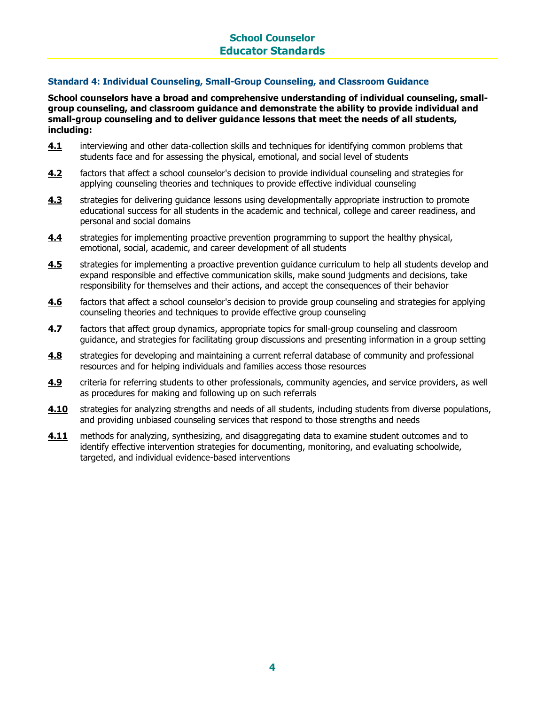### **School Counselor Educator Standards**

#### **Standard 4: Individual Counseling, Small-Group Counseling, and Classroom Guidance**

**School counselors have a broad and comprehensive understanding of individual counseling, smallgroup counseling, and classroom guidance and demonstrate the ability to provide individual and small-group counseling and to deliver guidance lessons that meet the needs of all students, including:**

- **4.1** interviewing and other data-collection skills and techniques for identifying common problems that students face and for assessing the physical, emotional, and social level of students
- **4.2** factors that affect a school counselor's decision to provide individual counseling and strategies for applying counseling theories and techniques to provide effective individual counseling
- **4.3** strategies for delivering guidance lessons using developmentally appropriate instruction to promote educational success for all students in the academic and technical, college and career readiness, and personal and social domains
- **4.4** strategies for implementing proactive prevention programming to support the healthy physical, emotional, social, academic, and career development of all students
- **4.5** strategies for implementing a proactive prevention guidance curriculum to help all students develop and expand responsible and effective communication skills, make sound judgments and decisions, take responsibility for themselves and their actions, and accept the consequences of their behavior
- **4.6** factors that affect a school counselor's decision to provide group counseling and strategies for applying counseling theories and techniques to provide effective group counseling
- **4.7** factors that affect group dynamics, appropriate topics for small-group counseling and classroom guidance, and strategies for facilitating group discussions and presenting information in a group setting
- **4.8** strategies for developing and maintaining a current referral database of community and professional resources and for helping individuals and families access those resources
- **4.9** criteria for referring students to other professionals, community agencies, and service providers, as well as procedures for making and following up on such referrals
- **4.10** strategies for analyzing strengths and needs of all students, including students from diverse populations, and providing unbiased counseling services that respond to those strengths and needs
- **4.11** methods for analyzing, synthesizing, and disaggregating data to examine student outcomes and to identify effective intervention strategies for documenting, monitoring, and evaluating schoolwide, targeted, and individual evidence-based interventions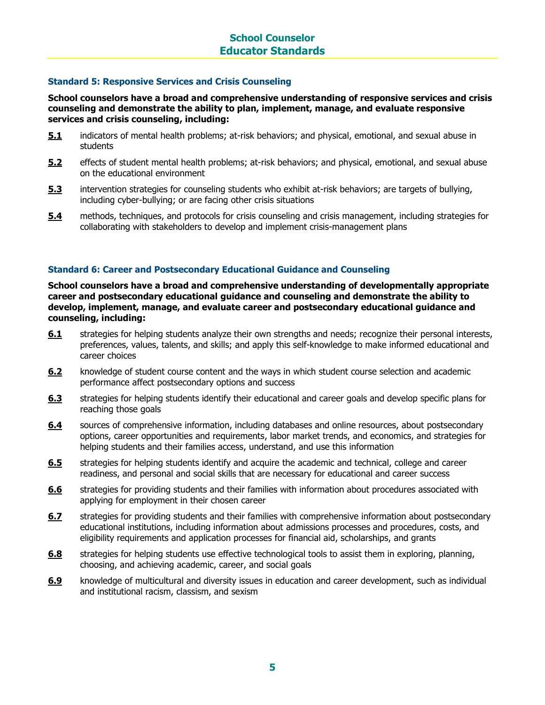#### **Standard 5: Responsive Services and Crisis Counseling**

**School counselors have a broad and comprehensive understanding of responsive services and crisis counseling and demonstrate the ability to plan, implement, manage, and evaluate responsive services and crisis counseling, including:**

- **5.1** indicators of mental health problems; at-risk behaviors; and physical, emotional, and sexual abuse in students
- **5.2** effects of student mental health problems; at-risk behaviors; and physical, emotional, and sexual abuse on the educational environment
- **5.3** intervention strategies for counseling students who exhibit at-risk behaviors; are targets of bullying, including cyber-bullying; or are facing other crisis situations
- **5.4** methods, techniques, and protocols for crisis counseling and crisis management, including strategies for collaborating with stakeholders to develop and implement crisis-management plans

#### **Standard 6: Career and Postsecondary Educational Guidance and Counseling**

**School counselors have a broad and comprehensive understanding of developmentally appropriate career and postsecondary educational guidance and counseling and demonstrate the ability to develop, implement, manage, and evaluate career and postsecondary educational guidance and counseling, including:**

- **6.1** strategies for helping students analyze their own strengths and needs; recognize their personal interests, preferences, values, talents, and skills; and apply this self-knowledge to make informed educational and career choices
- **6.2** knowledge of student course content and the ways in which student course selection and academic performance affect postsecondary options and success
- **6.3** strategies for helping students identify their educational and career goals and develop specific plans for reaching those goals
- **6.4** sources of comprehensive information, including databases and online resources, about postsecondary options, career opportunities and requirements, labor market trends, and economics, and strategies for helping students and their families access, understand, and use this information
- **6.5** strategies for helping students identify and acquire the academic and technical, college and career readiness, and personal and social skills that are necessary for educational and career success
- **6.6** strategies for providing students and their families with information about procedures associated with applying for employment in their chosen career
- **6.7** strategies for providing students and their families with comprehensive information about postsecondary educational institutions, including information about admissions processes and procedures, costs, and eligibility requirements and application processes for financial aid, scholarships, and grants
- **6.8** strategies for helping students use effective technological tools to assist them in exploring, planning, choosing, and achieving academic, career, and social goals
- **6.9** knowledge of multicultural and diversity issues in education and career development, such as individual and institutional racism, classism, and sexism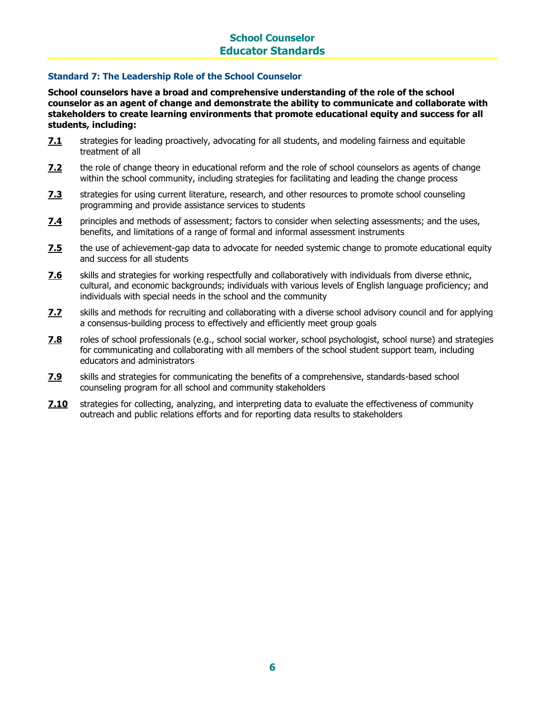### **School Counselor Educator Standards**

#### **Standard 7: The Leadership Role of the School Counselor**

**School counselors have a broad and comprehensive understanding of the role of the school counselor as an agent of change and demonstrate the ability to communicate and collaborate with stakeholders to create learning environments that promote educational equity and success for all students, including:** 

- **7.1** strategies for leading proactively, advocating for all students, and modeling fairness and equitable treatment of all
- **7.2** the role of change theory in educational reform and the role of school counselors as agents of change within the school community, including strategies for facilitating and leading the change process
- **7.3** strategies for using current literature, research, and other resources to promote school counseling programming and provide assistance services to students
- **7.4** principles and methods of assessment; factors to consider when selecting assessments; and the uses, benefits, and limitations of a range of formal and informal assessment instruments
- **7.5** the use of achievement-gap data to advocate for needed systemic change to promote educational equity and success for all students
- **7.6** skills and strategies for working respectfully and collaboratively with individuals from diverse ethnic, cultural, and economic backgrounds; individuals with various levels of English language proficiency; and individuals with special needs in the school and the community
- **7.7** skills and methods for recruiting and collaborating with a diverse school advisory council and for applying a consensus-building process to effectively and efficiently meet group goals
- **7.8** roles of school professionals (e.g., school social worker, school psychologist, school nurse) and strategies for communicating and collaborating with all members of the school student support team, including educators and administrators
- **7.9** skills and strategies for communicating the benefits of a comprehensive, standards-based school counseling program for all school and community stakeholders
- **7.10** strategies for collecting, analyzing, and interpreting data to evaluate the effectiveness of community outreach and public relations efforts and for reporting data results to stakeholders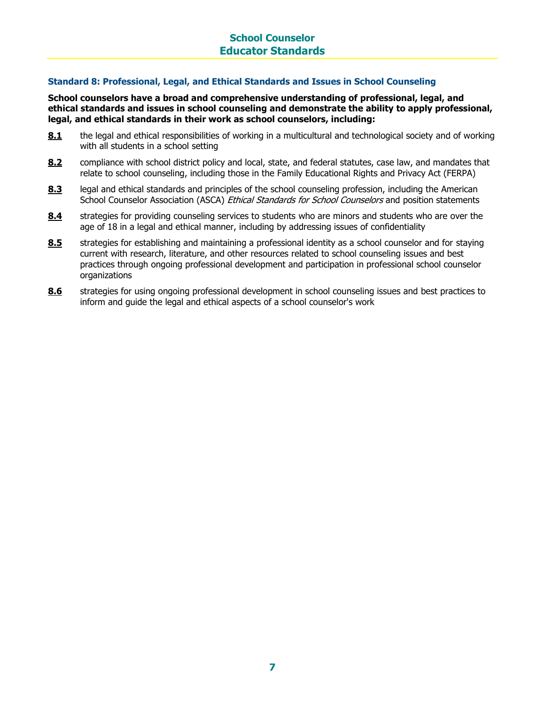#### **Standard 8: Professional, Legal, and Ethical Standards and Issues in School Counseling**

**School counselors have a broad and comprehensive understanding of professional, legal, and ethical standards and issues in school counseling and demonstrate the ability to apply professional, legal, and ethical standards in their work as school counselors, including:**

- **8.1** the legal and ethical responsibilities of working in a multicultural and technological society and of working with all students in a school setting
- **8.2** compliance with school district policy and local, state, and federal statutes, case law, and mandates that relate to school counseling, including those in the Family Educational Rights and Privacy Act (FERPA)
- **8.3** legal and ethical standards and principles of the school counseling profession, including the American School Counselor Association (ASCA) Ethical Standards for School Counselors and position statements
- 8.4 strategies for providing counseling services to students who are minors and students who are over the age of 18 in a legal and ethical manner, including by addressing issues of confidentiality
- **8.5** strategies for establishing and maintaining a professional identity as a school counselor and for staying current with research, literature, and other resources related to school counseling issues and best practices through ongoing professional development and participation in professional school counselor organizations
- **8.6** strategies for using ongoing professional development in school counseling issues and best practices to inform and guide the legal and ethical aspects of a school counselor's work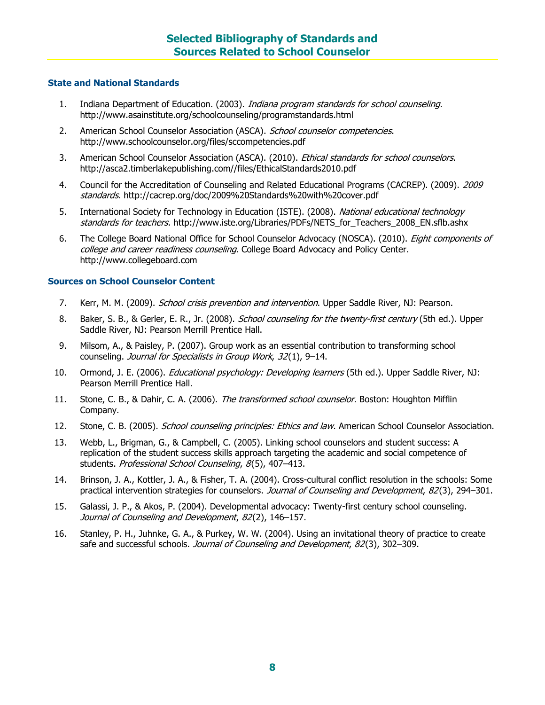#### **State and National Standards**

- 1. Indiana Department of Education. (2003). Indiana program standards for school counseling. http://www.asainstitute.org/schoolcounseling/programstandards.html
- 2. American School Counselor Association (ASCA). School counselor competencies. http://www.schoolcounselor.org/files/sccompetencies.pdf
- 3. American School Counselor Association (ASCA). (2010). *Ethical standards for school counselors*. http://asca2.timberlakepublishing.com//files/EthicalStandards2010.pdf
- 4. Council for the Accreditation of Counseling and Related Educational Programs (CACREP). (2009). 2009 standards. http://cacrep.org/doc/2009%20Standards%20with%20cover.pdf
- 5. International Society for Technology in Education (ISTE). (2008). National educational technology standards for teachers. http://www.iste.org/Libraries/PDFs/NETS for Teachers 2008 EN.sflb.ashx
- 6. The College Board National Office for School Counselor Advocacy (NOSCA). (2010). *Eight components of* college and career readiness counseling. College Board Advocacy and Policy Center. http://www.collegeboard.com

#### **Sources on School Counselor Content**

- 7. Kerr, M. M. (2009). *School crisis prevention and intervention*. Upper Saddle River, NJ: Pearson.
- 8. Baker, S. B., & Gerler, E. R., Jr. (2008). School counseling for the twenty-first century (5th ed.). Upper Saddle River, NJ: Pearson Merrill Prentice Hall.
- 9. Milsom, A., & Paisley, P. (2007). Group work as an essential contribution to transforming school counseling. Journal for Specialists in Group Work, 32(1), 9-14.
- 10. Ormond, J. E. (2006). *Educational psychology: Developing learners* (5th ed.). Upper Saddle River, NJ: Pearson Merrill Prentice Hall.
- 11. Stone, C. B., & Dahir, C. A. (2006). The transformed school counselor. Boston: Houghton Mifflin Company.
- 12. Stone, C. B. (2005). School counseling principles: Ethics and law. American School Counselor Association.
- 13. Webb, L., Brigman, G., & Campbell, C. (2005). Linking school counselors and student success: A replication of the student success skills approach targeting the academic and social competence of students. Professional School Counseling, 8(5), 407-413.
- 14. Brinson, J. A., Kottler, J. A., & Fisher, T. A. (2004). Cross-cultural conflict resolution in the schools: Some practical intervention strategies for counselors. Journal of Counseling and Development, 82(3), 294-301.
- 15. Galassi, J. P., & Akos, P. (2004). Developmental advocacy: Twenty-first century school counseling. Journal of Counseling and Development, 82(2), 146–157.
- 16. Stanley, P. H., Juhnke, G. A., & Purkey, W. W. (2004). Using an invitational theory of practice to create safe and successful schools. Journal of Counseling and Development, 82(3), 302-309.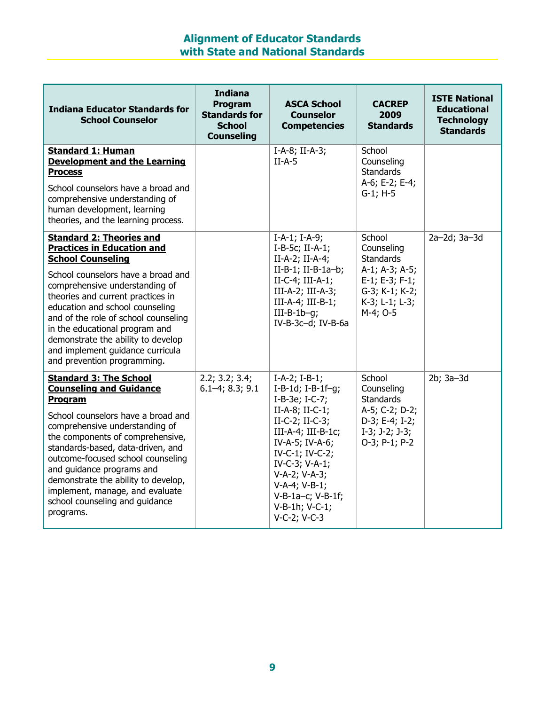## **Alignment of Educator Standards with State and National Standards**

| <b>Indiana Educator Standards for</b><br><b>School Counselor</b>                                                                                                                                                                                                                                                                                                                                                                    | <b>Indiana</b><br>Program<br><b>Standards for</b><br><b>School</b><br><b>Counseling</b> | <b>ASCA School</b><br><b>Counselor</b><br><b>Competencies</b>                                                                                                                                                                                                                           | <b>CACREP</b><br>2009<br><b>Standards</b>                                                                                             | <b>ISTE National</b><br><b>Educational</b><br><b>Technology</b><br><b>Standards</b> |
|-------------------------------------------------------------------------------------------------------------------------------------------------------------------------------------------------------------------------------------------------------------------------------------------------------------------------------------------------------------------------------------------------------------------------------------|-----------------------------------------------------------------------------------------|-----------------------------------------------------------------------------------------------------------------------------------------------------------------------------------------------------------------------------------------------------------------------------------------|---------------------------------------------------------------------------------------------------------------------------------------|-------------------------------------------------------------------------------------|
| <b>Standard 1: Human</b><br><b>Development and the Learning</b><br><b>Process</b><br>School counselors have a broad and<br>comprehensive understanding of<br>human development, learning<br>theories, and the learning process.                                                                                                                                                                                                     |                                                                                         | $I-A-8$ ; II-A-3;<br>$II-A-5$                                                                                                                                                                                                                                                           | School<br>Counseling<br><b>Standards</b><br>A-6; E-2; E-4;<br>$G-1$ ; H $-5$                                                          |                                                                                     |
| <b>Standard 2: Theories and</b><br><b>Practices in Education and</b><br><b>School Counseling</b><br>School counselors have a broad and<br>comprehensive understanding of<br>theories and current practices in<br>education and school counseling<br>and of the role of school counseling<br>in the educational program and<br>demonstrate the ability to develop<br>and implement guidance curricula<br>and prevention programming. |                                                                                         | $I-A-1$ ; $I-A-9$ ;<br>$I-B-5c$ ; II-A-1;<br>$II-A-2$ ; $II-A-4$ ;<br>$II-B-1$ ; $II-B-1a-b$ ;<br>$II-C-4$ ; $III-A-1$ ;<br>III-A-2; III-A-3;<br>$III-A-4$ ; $III-B-1$ ;<br>$III-B-1b-q;$<br>IV-B-3c-d; IV-B-6a                                                                         | School<br>Counseling<br><b>Standards</b><br>A-1; A-3; A-5;<br>$E-1$ ; $E-3$ ; $F-1$ ;<br>G-3; K-1; K-2;<br>K-3; L-1; L-3;<br>M-4; O-5 | 2a-2d; 3a-3d                                                                        |
| <b>Standard 3: The School</b><br><b>Counseling and Guidance</b><br>Program<br>School counselors have a broad and<br>comprehensive understanding of<br>the components of comprehensive,<br>standards-based, data-driven, and<br>outcome-focused school counseling<br>and quidance programs and<br>demonstrate the ability to develop,<br>implement, manage, and evaluate<br>school counseling and guidance<br>programs.              | 2.2; 3.2; 3.4;<br>$6.1 - 4; 8.3; 9.1$                                                   | $I-A-2; I-B-1;$<br>I-B-1d; I-B-1f-g;<br>I-B-3e; I-C-7;<br>$II-A-8$ ; $II-C-1$ ;<br>$II-C-2; II-C-3;$<br>III-A-4; III-B-1 $c$ ;<br>IV-A-5; IV-A-6;<br>$IV-C-1$ ; $IV-C-2$ ;<br>IV-C-3; V-A-1;<br>V-A-2; V-A-3;<br>V-A-4; V-B-1;<br>$V-B-1a-c; V-B-1f;$<br>V-B-1h; V-C-1;<br>V-C-2; V-C-3 | School<br>Counseling<br><b>Standards</b><br>A-5; C-2; D-2;<br>D-3; E-4; I-2;<br>$I-3; J-2; J-3;$<br>O-3; P-1; P-2                     | 2b; 3a-3d                                                                           |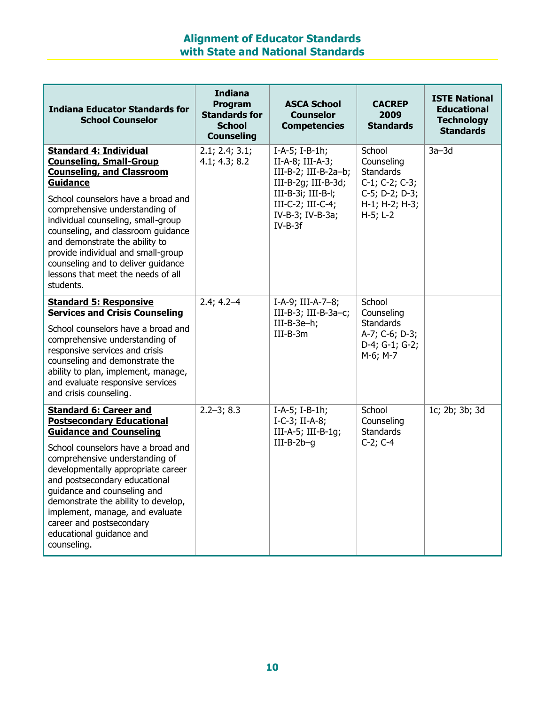## **Alignment of Educator Standards with State and National Standards**

| <b>Indiana Educator Standards for</b><br><b>School Counselor</b>                                                                                                                                                                                                                                                                                                                                                                            | <b>Indiana</b><br>Program<br><b>Standards for</b><br><b>School</b><br><b>Counseling</b> | <b>ASCA School</b><br><b>Counselor</b><br><b>Competencies</b>                                                                                                                     | <b>CACREP</b><br>2009<br><b>Standards</b>                                                                                | <b>ISTE National</b><br><b>Educational</b><br><b>Technology</b><br><b>Standards</b> |
|---------------------------------------------------------------------------------------------------------------------------------------------------------------------------------------------------------------------------------------------------------------------------------------------------------------------------------------------------------------------------------------------------------------------------------------------|-----------------------------------------------------------------------------------------|-----------------------------------------------------------------------------------------------------------------------------------------------------------------------------------|--------------------------------------------------------------------------------------------------------------------------|-------------------------------------------------------------------------------------|
| <b>Standard 4: Individual</b><br><b>Counseling, Small-Group</b><br><b>Counseling, and Classroom</b><br><b>Guidance</b><br>School counselors have a broad and<br>comprehensive understanding of<br>individual counseling, small-group<br>counseling, and classroom guidance<br>and demonstrate the ability to<br>provide individual and small-group<br>counseling and to deliver guidance<br>lessons that meet the needs of all<br>students. | 2.1; 2.4; 3.1;<br>4.1; 4.3; 8.2                                                         | $I-A-5$ ; $I-B-1h$ ;<br>$II-A-8$ ; $III-A-3$ ;<br>III-B-2; III-B-2a-b;<br>$III-B-2g$ ; $III-B-3d$ ;<br>$III-B-3i; III-B-l;$<br>III-C-2; III-C-4;<br>IV-B-3; IV-B-3a;<br>$IV-B-3f$ | School<br>Counseling<br><b>Standards</b><br>$C-1$ ; $C-2$ ; $C-3$ ;<br>$C-5$ ; D-2; D-3;<br>H-1; H-2; H-3;<br>$H-5; L-2$ | $3a - 3d$                                                                           |
| <b>Standard 5: Responsive</b><br><b>Services and Crisis Counseling</b><br>School counselors have a broad and<br>comprehensive understanding of<br>responsive services and crisis<br>counseling and demonstrate the<br>ability to plan, implement, manage,<br>and evaluate responsive services<br>and crisis counseling.                                                                                                                     | $2.4; 4.2 - 4$                                                                          | I-A-9; III-A-7-8;<br>III-B-3; III-B-3a-c;<br>$III-B-3e-h;$<br>$III-B-3m$                                                                                                          | School<br>Counseling<br><b>Standards</b><br>A-7; C-6; D-3;<br>D-4; G-1; G-2;<br>M-6; M-7                                 |                                                                                     |
| <b>Standard 6: Career and</b><br><b>Postsecondary Educational</b><br><b>Guidance and Counseling</b><br>School counselors have a broad and<br>comprehensive understanding of<br>developmentally appropriate career<br>and postsecondary educational<br>guidance and counseling and<br>demonstrate the ability to develop,<br>implement, manage, and evaluate<br>career and postsecondary<br>educational guidance and<br>counseling.          | $2.2 - 3; 8.3$                                                                          | $I-A-5$ ; $I-B-1h$ ;<br>$I-C-3$ ; II-A-8;<br>III-A-5; III-B-1q;<br>$III-B-2b-q$                                                                                                   | School<br>Counseling<br><b>Standards</b><br>$C-2; C-4$                                                                   | 1c; 2b; 3b; 3d                                                                      |